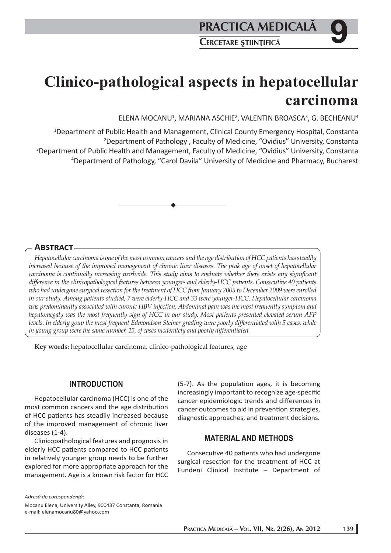# **Clinico-pathological aspects in hepatocellular carcinoma**

ELENA MOCANU1 , MARIANA ASCHIE2 , VALENTIN BROASCA3 , G. BECHEANU4

 Department of Public Health and Management, Clinical County Emergency Hospital, Constanta Department of Pathology , Faculty of Medicine, "Ovidius" University, Constanta Department of Public Health and Management, Faculty of Medicine, "Ovidius" University, Constanta Department of Pathology, "Carol Davila" University of Medicine and Pharmacy, Bucharest

## **ABSTRACT**

*Hepatocellular carcinoma is one of the most common cancers and the age distribution of HCC patients has steadily increased because of the improved management of chronic liver diseases. The peak age of onset of hepatocellular carcinoma is continually increasing worlwide. This study aims to evaluate whether there exists any significant diff erence in the clinicopathological features between younger- and elderly-HCC patients. Consecutive 40 patients*  who had undergone surgical resection for the treatment of HCC from January 2005 to December 2009 were enrolled *in our study. Among patients studied, 7 were elderly-HCC and 33 were younger-HCC. Hepatocellular carcinoma was predominantly associated with chronic HBV-infection. Abdominal pain was the most frequently symptom and hepatomegaly was the most frequently sign of HCC in our study. Most patients presented elevated serum AFP levels. In elderly goup the most frequent Edmondson Steiner grading were poorly diff erentiated with 5 cases, while*  in young group were the same number, 15, of cases moderately and poorly differentiated.

**Key words:** hepatocellular carcinoma, clinico-pathological features, age

#### **INTRODUCTION**

Hepatocellular carcinoma (HCC) is one of the most common cancers and the age distribution of HCC patients has steadily increased because of the improved management of chronic liver diseases (1-4).

Clinicopathological features and prognosis in elderly HCC patients compared to HCC patients in relatively younger group needs to be further explored for more appropriate approach for the management. Age is a known risk factor for HCC

 $(5-7)$ . As the population ages, it is becoming increasingly important to recognize age-specific cancer epidemiologic trends and differences in cancer outcomes to aid in prevention strategies, diagnostic approaches, and treatment decisions.

### **MATERIAL AND METHODS**

Consecutive 40 patients who had undergone surgical resection for the treatment of HCC at Fundeni Clinical Institute - Department of

*Adresă de corespondenţă:* 

Mocanu Elena, University Alley, 900437 Constanta, Romania e-mail: elenamocanu80@yahoo.com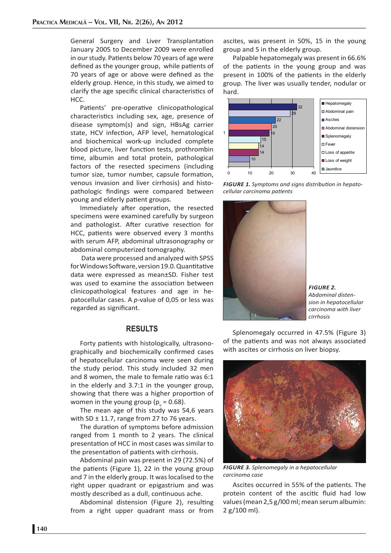General Surgery and Liver Transplantation January 2005 to December 2009 were enrolled in our study. Patients below 70 years of age were defined as the younger group, while patients of 70 years of age or above were defined as the elderly group. Hence, in this study, we aimed to clarify the age specific clinical characteristics of HCC.

Patients' pre-operative clinicopathological characteristics including sex, age, presence of disease symptom(s) and sign, HBsAg carrier state, HCV infection, AFP level, hematological and biochemical work-up included complete blood picture, liver function tests, prothrombin time, albumin and total protein, pathological factors of the resected specimens (including tumor size, tumor number, capsule formation, venous invasion and liver cirrhosis) and histopathologic findings were compared between young and elderly patient groups.

Immediately after operation, the resected specimens were examined carefully by surgeon and pathologist. After curative resection for HCC, patients were observed every 3 months with serum AFP, abdominal ultrasonography or abdominal computerized tomography.

 Data were processed and analyzed with SPSS for Windows Software, version 19.0. Quantitative data were expressed as mean±SD. Fisher test was used to examine the association between clinicopathological features and age in hepatocellular cases. A *p*-value of 0,05 or less was regarded as significant.

#### **RESULTS**

Forty patients with histologically, ultrasonographically and biochemically confirmed cases of hepatocellular carcinoma were seen during the study period. This study included 32 men and 8 women, the male to female ratio was 6:1 in the elderly and 3.7:1 in the younger group, showing that there was a higher proportion of women in the young group ( $p_{v}$  = 0.68).

The mean age of this study was 54,6 years with SD  $\pm$  11.7, range from 27 to 76 years.

The duration of symptoms before admission ranged from 1 month to 2 years. The clinical presentation of HCC in most cases was similar to the presentation of patients with cirrhosis.

Abdominal pain was present in 29 (72.5%) of the patients (Figure 1), 22 in the young group and 7 in the elderly group. It was localised to the right upper quadrant or epigastrium and was mostly described as a dull, continuous ache.

Abdominal distension (Figure 2), resulting from a right upper quadrant mass or from

ascites, was present in 50%, 15 in the young group and 5 in the elderly group.

Palpable hepatomegaly was present in 66.6% of the patients in the young group and was present in 100% of the patients in the elderly group. The liver was usually tender, nodular or hard.







*FIGURE 2. Abdominal distension in hepatocellular carcinoma with liver cirrhosis*

Splenomegaly occurred in 47.5% (Figure 3) of the patients and was not always associated with ascites or cirrhosis on liver biopsy.



*FIGURE 3. Splenomegaly in a hepatocellular carcinoma case*

Ascites occurred in 55% of the patients. The protein content of the ascitic fluid had low values (mean 2,5 g/l00 ml; mean serum albumin: 2 g/100 ml).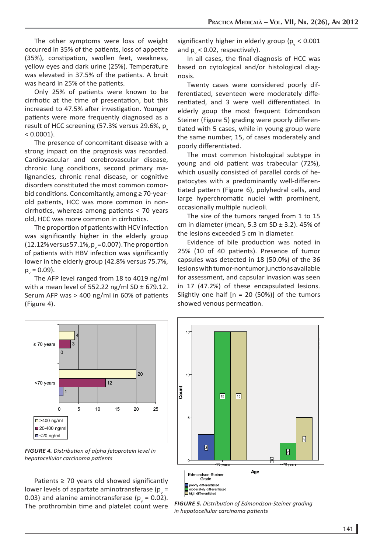The other symptoms were loss of weight occurred in 35% of the patients, loss of appetite (35%), constipation, swollen feet, weakness, yellow eyes and dark urine (25%). Temperature was elevated in 37.5% of the patients. A bruit was heard in 25% of the patients.

Only 25% of patients were known to be cirrhotic at the time of presentation, but this increased to 47.5% after investigation. Younger patients were more frequently diagnosed as a result of HCC screening  $(57.3%$  versus 29.6%, p  $< 0.0001$ ).

The presence of concomitant disease with a strong impact on the prognosis was recorded. Cardiovascular and cerebrovascular disease, chronic lung conditions, second primary malignancies, chronic renal disease, or cognitive disorders constituted the most common comorbid conditions. Concomitantly, among  $\geq 70$ -yearold patients, HCC was more common in noncirrhotics, whereas among patients  $<$  70 years old, HCC was more common in cirrhotics.

The proportion of patients with HCV infection was significantly higher in the elderly group (12.12% versus 57.1%,  $p_{\mathrm{v}}$  = 0.007). The proportion of patients with HBV infection was significantly lower in the elderly group (42.8% versus 75.7%,  $p_{v}$  = 0.09).

The AFP level ranged from 18 to 4019 ng/ml with a mean level of 552.22 ng/ml SD  $\pm$  679.12. Serum AFP was  $> 400$  ng/ml in 60% of patients (Figure 4).

significantly higher in elderly group ( $p_{v}$  < 0.001 and  $p_{v}$  < 0.02, respectively).

In all cases, the final diagnosis of HCC was based on cytological and/or histological diagnosis.

Twenty cases were considered poorly differentiated, seventeen were moderately differentiated, and 3 were well differentiated. In elderly goup the most frequent Edmondson Steiner (Figure 5) grading were poorly differentiated with 5 cases, while in young group were the same number, 15, of cases moderately and poorly differentiated.

The most common histological subtype in young and old patient was trabecular (72%), which usually consisted of parallel cords of hepatocytes with a predominantly well-differentiated pattern (Figure 6), polyhedral cells, and large hyperchromatic nuclei with prominent, occasionally multiple nucleoli.

The size of the tumors ranged from 1 to 15 cm in diameter (mean, 5.3 cm  $SD \pm 3.2$ ), 45% of the lesions exceeded 5 cm in diameter.

Evidence of bile production was noted in 25% (10 of 40 patients). Presence of tumor capsules was detected in 18 (50.0%) of the 36 lesions with tumor-nontumor junctions available for assessment, and capsular invasion was seen in 17 (47.2%) of these encapsulated lesions. Slightly one half  $[n = 20 (50%)]$  of the tumors showed venous permeation.



*FIGURE 4. Distributi on of alpha fetoprotein level in hepatocellular carcinoma patients* 

Patients  $\geq$  70 years old showed significantly lower levels of aspartate aminotransferase (p<sub>v</sub> = 0.03) and alanine aminotransferase ( $p_v = 0.02$ ). The prothrombin time and platelet count were **FIGURE 5.** Distribution of Edmondson-Steiner grading The prothrombin time and platelet count were



*in hepatocellular carcinoma patients*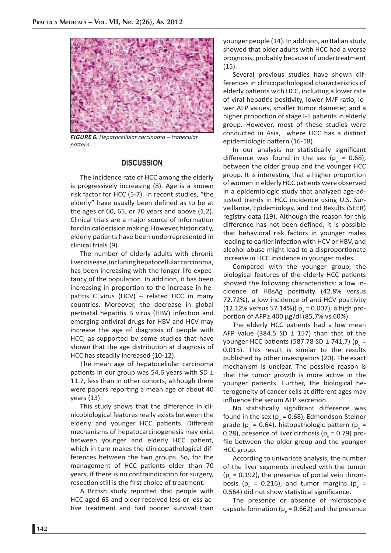

*FIGURE 6. Hepatocellular carcinoma – trabecular paƩ ern*

#### **DISCUSSION**

The incidence rate of HCC among the elderly is progressively increasing (8). Age is a known risk factor for HCC (5-7). In recent studies, "the elderly" have usually been defined as to be at the ages of 60, 65, or 70 years and above (1,2). Clinical trials are a major source of information for clinical decision making. However, historically, elderly patients have been underrepresented in clinical trials (9).

The number of elderly adults with chronic liver disease, including hepatocellular carcinoma, has been increasing with the longer life expectancy of the population. In addition, it has been increasing in proportion to the increase in hepatitis C virus (HCV) – related HCC in many countries. Moreover, the decrease in global perinatal hepatitis B virus (HBV) infection and emerging antiviral drugs for HBV and HCV may increase the age of diagnosis of people with HCC, as supported by some studies that have shown that the age distribution at diagnosis of HCC has steadily increased (10-12).

The mean age of hepatocellular carcinoma patients in our group was 54,6 years with SD  $\pm$ 11.7, less than in other cohorts, although there were papers reporting a mean age of about 40 years (13).

This study shows that the difference in clinicobiological features really exists between the elderly and younger HCC patients. Different mechanisms of hepatocarcinogenesis may exist between younger and elderly HCC patient, which in turn makes the clinicopathological differences between the two groups. So, for the management of HCC patients older than 70 years, if there is no contraindication for surgery, resection still is the first choice of treatment.

A British study reported that people with HCC aged 65 and older received less or less-active treatment and had poorer survival than

younger people (14). In addition, an Italian study showed that older adults with HCC had a worse prognosis, probably because of undertreatment (15).

Several previous studies have shown differences in clinicopathological characteristics of elderly patients with HCC, including a lower rate of viral hepatitis positivity, lower M/F ratio, lower AFP values, smaller tumor diameter, and a higher proportion of stage I-II patients in elderly group. However, most of these studies were conducted in Asia, where HCC has a distinct epidemiologic pattern (16-18).

In our analysis no statistically significant difference was found in the sex ( $p_v = 0.68$ ), between the older group and the younger HCC group. It is interesting that a higher proportion of women in elderly HCC patients were observed in a epidemiologic study that analyzed age-adjusted trends in HCC incidence using U.S. Surveillance, Epidemiology, and End Results (SEER) registry data (19). Although the reason for this difference has not been defined, it is possible that behavioral risk factors in younger males leading to earlier infection with HCV or HBV, and alcohol abuse might lead to a disproportionate increase in HCC incidence in younger males.

Compared with the younger group, the biological features of the elderly HCC patients showed the following characteristics: a low incidence of HBsAg positivity (42.8% versus 72.72%), a low incidence of anti-HCV positivity (12.12% versus 57.14%)( $p_v = 0.007$ ), a high proportion of AFP $\geq$  400 μg/dl (85,7% vs 60%).

The elderly HCC patients had a low mean AFP value (384.5 SD  $\pm$  157) than that of the younger HCC patients (587.78 SD ± 741,7) ( $p_v =$ 0.015). This result is similar to the results published by other investigators (20). The exact mechanism is unclear. The possible reason is that the tumor growth is more active in the younger patients. Further, the biological heterogeneity of cancer cells at different ages may influence the serum AFP secretion.

No statistically significant difference was found in the sex ( $p_v$  = 0.68), Edmondson-Steiner grade (p<sub>v</sub> = 0.64), histopathologic pattern (p<sub>v</sub> = 0.28), presence of liver cirrhosis (p<sub>v</sub> = 0.79) profile between the older group and the younger HCC group.

According to univariate analysis, the number of the liver segments involved with the tumor  $(p_v = 0.192)$ , the presence of portal vein thrombosis ( $p_v = 0.216$ ), and tumor margins ( $p_v =$ 0.564) did not show statistical significance.

The presence or absence of microscopic capsule formation ( $p<sub>v</sub>$  = 0.662) and the presence